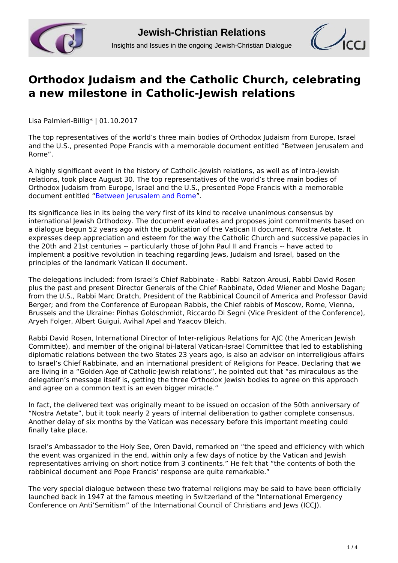



## **[Orthodox Judaism and the Catholic Church, celebrating](http://www.jcrelations.net/Orthodox_Judaism_and_the_Catholic_Church__celebrating_a_new_milestone_in_Catholi.5833.0.html?L=3) [a new milestone in Catholic-Jewish relations](http://www.jcrelations.net/Orthodox_Judaism_and_the_Catholic_Church__celebrating_a_new_milestone_in_Catholi.5833.0.html?L=3)**

Lisa Palmieri-Billig\* | 01.10.2017

The top representatives of the world's three main bodies of Orthodox Judaism from Europe, Israel and the U.S., presented Pope Francis with a memorable document entitled "Between Jerusalem and Rome".

A highly significant event in the history of Catholic-Jewish relations, as well as of intra-Jewish relations, took place August 30. The top representatives of the world's three main bodies of Orthodox Judaism from Europe, Israel and the U.S., presented Pope Francis with a memorable document entitled "[Between Jerusalem and Rome"](http://www.jcrelations.net/Between_Jerusalem_and_Rome_-.5580.0.html?L=3).

Its significance lies in its being the very first of its kind to receive unanimous consensus by international Jewish Orthodoxy. The document evaluates and proposes joint commitments based on a dialogue begun 52 years ago with the publication of the Vatican II document, Nostra Aetate. It expresses deep appreciation and esteem for the way the Catholic Church and successive papacies in the 20th and 21st centuries -- particularly those of John Paul II and Francis -- have acted to implement a positive revolution in teaching regarding Jews, Judaism and Israel, based on the principles of the landmark Vatican II document.

The delegations included: from Israel's Chief Rabbinate - Rabbi Ratzon Arousi, Rabbi David Rosen plus the past and present Director Generals of the Chief Rabbinate, Oded Wiener and Moshe Dagan; from the U.S., Rabbi Marc Dratch, President of the Rabbinical Council of America and Professor David Berger; and from the Conference of European Rabbis, the Chief rabbis of Moscow, Rome, Vienna, Brussels and the Ukraine: Pinhas Goldschmidt, Riccardo Di Segni (Vice President of the Conference), Aryeh Folger, Albert Guigui, Avihal Apel and Yaacov Bleich.

Rabbi David Rosen, International Director of Inter-religious Relations for AJC (the American Jewish Committee), and member of the original bi-lateral Vatican-Israel Committee that led to establishing diplomatic relations between the two States 23 years ago, is also an advisor on interreligious affairs to Israel's Chief Rabbinate, and an international president of Religions for Peace. Declaring that we are living in a "Golden Age of Catholic-Jewish relations", he pointed out that "as miraculous as the delegation's message itself is, getting the three Orthodox Jewish bodies to agree on this approach and agree on a common text is an even bigger miracle."

In fact, the delivered text was originally meant to be issued on occasion of the 50th anniversary of "Nostra Aetate", but it took nearly 2 years of internal deliberation to gather complete consensus. Another delay of six months by the Vatican was necessary before this important meeting could finally take place.

Israel's Ambassador to the Holy See, Oren David, remarked on "the speed and efficiency with which the event was organized in the end, within only a few days of notice by the Vatican and Jewish representatives arriving on short notice from 3 continents." He felt that "the contents of both the rabbinical document and Pope Francis' response are quite remarkable."

The very special dialogue between these two fraternal religions may be said to have been officially launched back in 1947 at the famous meeting in Switzerland of the "International Emergency Conference on Anti'Semitism" of the International Council of Christians and Jews (ICCJ).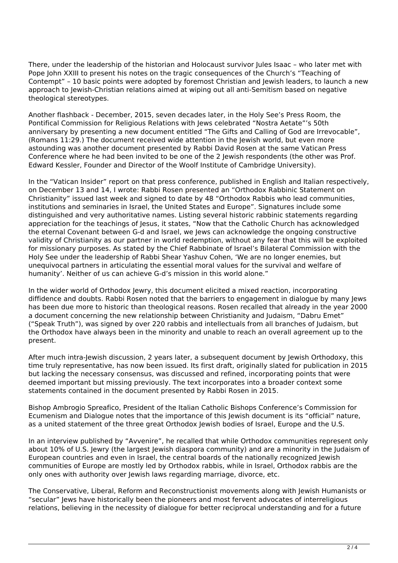There, under the leadership of the historian and Holocaust survivor Jules Isaac – who later met with Pope John XXIII to present his notes on the tragic consequences of the Church's "Teaching of Contempt" – 10 basic points were adopted by foremost Christian and Jewish leaders, to launch a new approach to Jewish-Christian relations aimed at wiping out all anti-Semitism based on negative theological stereotypes.

Another flashback - December, 2015, seven decades later, in the Holy See's Press Room, the Pontifical Commission for Religious Relations with Jews celebrated "Nostra Aetate"'s 50th anniversary by presenting a new document entitled "The Gifts and Calling of God are Irrevocable", (Romans 11:29.) The document received wide attention in the Jewish world, but even more astounding was another document presented by Rabbi David Rosen at the same Vatican Press Conference where he had been invited to be one of the 2 Jewish respondents (the other was Prof. Edward Kessler, Founder and Director of the Woolf Institute of Cambridge University).

In the "Vatican Insider" report on that press conference, published in English and Italian respectively, on December 13 and 14, I wrote: Rabbi Rosen presented an "Orthodox Rabbinic Statement on Christianity" issued last week and signed to date by 48 "Orthodox Rabbis who lead communities, institutions and seminaries in Israel, the United States and Europe". Signatures include some distinguished and very authoritative names. Listing several historic rabbinic statements regarding appreciation for the teachings of Jesus, it states, "Now that the Catholic Church has acknowledged the eternal Covenant between G-d and Israel, we Jews can acknowledge the ongoing constructive validity of Christianity as our partner in world redemption, without any fear that this will be exploited for missionary purposes. As stated by the Chief Rabbinate of Israel's Bilateral Commission with the Holy See under the leadership of Rabbi Shear Yashuv Cohen, 'We are no longer enemies, but unequivocal partners in articulating the essential moral values for the survival and welfare of humanity'. Neither of us can achieve G-d's mission in this world alone."

In the wider world of Orthodox Jewry, this document elicited a mixed reaction, incorporating diffidence and doubts. Rabbi Rosen noted that the barriers to engagement in dialogue by many Jews has been due more to historic than theological reasons. Rosen recalled that already in the year 2000 a document concerning the new relationship between Christianity and Judaism, "Dabru Emet" ("Speak Truth"), was signed by over 220 rabbis and intellectuals from all branches of Judaism, but the Orthodox have always been in the minority and unable to reach an overall agreement up to the present.

After much intra-Jewish discussion, 2 years later, a subsequent document by Jewish Orthodoxy, this time truly representative, has now been issued. Its first draft, originally slated for publication in 2015 but lacking the necessary consensus, was discussed and refined, incorporating points that were deemed important but missing previously. The text incorporates into a broader context some statements contained in the document presented by Rabbi Rosen in 2015.

Bishop Ambrogio Spreafico, President of the Italian Catholic Bishops Conference's Commission for Ecumenism and Dialogue notes that the importance of this Jewish document is its "official" nature, as a united statement of the three great Orthodox Jewish bodies of Israel, Europe and the U.S.

In an interview published by "Avvenire", he recalled that while Orthodox communities represent only about 10% of U.S. Jewry (the largest Jewish diaspora community) and are a minority in the Judaism of European countries and even in Israel, the central boards of the nationally recognized Jewish communities of Europe are mostly led by Orthodox rabbis, while in Israel, Orthodox rabbis are the only ones with authority over Jewish laws regarding marriage, divorce, etc.

The Conservative, Liberal, Reform and Reconstructionist movements along with Jewish Humanists or "secular" Jews have historically been the pioneers and most fervent advocates of interreligious relations, believing in the necessity of dialogue for better reciprocal understanding and for a future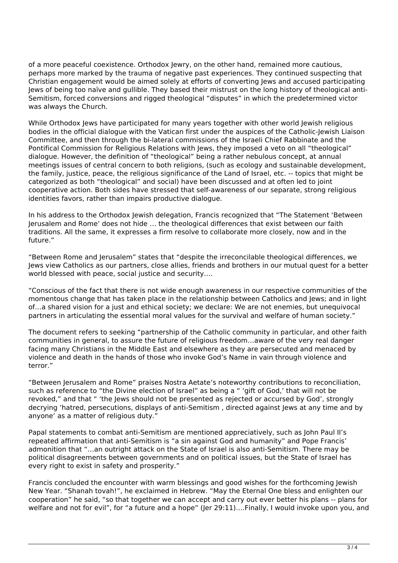of a more peaceful coexistence. Orthodox Jewry, on the other hand, remained more cautious, perhaps more marked by the trauma of negative past experiences. They continued suspecting that Christian engagement would be aimed solely at efforts of converting Jews and accused participating Jews of being too naïve and gullible. They based their mistrust on the long history of theological anti-Semitism, forced conversions and rigged theological "disputes" in which the predetermined victor was always the Church.

While Orthodox Jews have participated for many years together with other world Jewish religious bodies in the official dialogue with the Vatican first under the auspices of the Catholic-Jewish Liaison Committee, and then through the bi-lateral commissions of the Israeli Chief Rabbinate and the Pontifical Commission for Religious Relations with Jews, they imposed a veto on all "theological" dialogue. However, the definition of "theological" being a rather nebulous concept, at annual meetings issues of central concern to both religions, (such as ecology and sustainable development, the family, justice, peace, the religious significance of the Land of Israel, etc. -- topics that might be categorized as both "theological" and social) have been discussed and at often led to joint cooperative action. Both sides have stressed that self-awareness of our separate, strong religious identities favors, rather than impairs productive dialogue.

In his address to the Orthodox Jewish delegation, Francis recognized that "The Statement 'Between Jerusalem and Rome' does not hide … the theological differences that exist between our faith traditions. All the same, it expresses a firm resolve to collaborate more closely, now and in the future."

"Between Rome and Jerusalem" states that "despite the irreconcilable theological differences, we Jews view Catholics as our partners, close allies, friends and brothers in our mutual quest for a better world blessed with peace, social justice and security….

"Conscious of the fact that there is not wide enough awareness in our respective communities of the momentous change that has taken place in the relationship between Catholics and Jews; and in light of…a shared vision for a just and ethical society; we declare: We are not enemies, but unequivocal partners in articulating the essential moral values for the survival and welfare of human society."

The document refers to seeking "partnership of the Catholic community in particular, and other faith communities in general, to assure the future of religious freedom…aware of the very real danger facing many Christians in the Middle East and elsewhere as they are persecuted and menaced by violence and death in the hands of those who invoke God's Name in vain through violence and terror."

"Between Jerusalem and Rome" praises Nostra Aetate's noteworthy contributions to reconciliation, such as reference to "the Divine election of Israel" as being a " 'gift of God,' that will not be revoked," and that " 'the Jews should not be presented as rejected or accursed by God', strongly decrying 'hatred, persecutions, displays of anti-Semitism , directed against Jews at any time and by anyone' as a matter of religious duty."

Papal statements to combat anti-Semitism are mentioned appreciatively, such as John Paul II's repeated affirmation that anti-Semitism is "a sin against God and humanity" and Pope Francis' admonition that "…an outright attack on the State of Israel is also anti-Semitism. There may be political disagreements between governments and on political issues, but the State of Israel has every right to exist in safety and prosperity."

Francis concluded the encounter with warm blessings and good wishes for the forthcoming Jewish New Year. "Shanah tovah!", he exclaimed in Hebrew. "May the Eternal One bless and enlighten our cooperation" he said, "so that together we can accept and carry out ever better his plans -- plans for welfare and not for evil", for "a future and a hope" (Jer 29:11)....Finally, I would invoke upon you, and